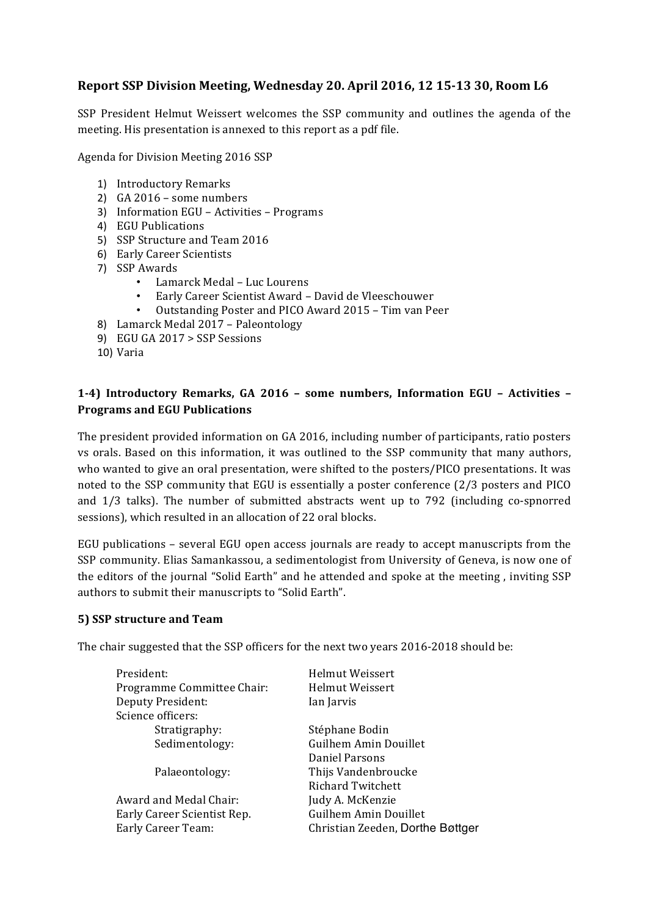# **Report SSP Division Meeting, Wednesday 20. April 2016, 12 15-13 30, Room L6**

SSP President Helmut Weissert welcomes the SSP community and outlines the agenda of the meeting. His presentation is annexed to this report as a pdf file.

Agenda for Division Meeting 2016 SSP

- 1) Introductory Remarks
- $2)$  GA 2016 some numbers
- 3) Information EGU Activities Programs
- 4) EGU Publications
- 5) SSP Structure and Team 2016
- 6) Early Career Scientists
- 7) SSP Awards
	- Lamarck Medal – Luc Lourens
	- Early Career Scientist Award David de Vleeschouwer
	- Outstanding Poster and PICO Award 2015 Tim van Peer
- 8) Lamarck Medal 2017 Paleontology
- 9) EGU GA 2017 > SSP Sessions
- 10) Varia

# **1-4) Introductory Remarks, GA 2016 – some numbers, Information EGU – Activities – Programs and EGU Publications**

The president provided information on GA 2016, including number of participants, ratio posters vs orals. Based on this information, it was outlined to the SSP community that many authors, who wanted to give an oral presentation, were shifted to the posters/PICO presentations. It was noted to the SSP community that EGU is essentially a poster conference (2/3 posters and PICO and  $1/3$  talks). The number of submitted abstracts went up to 792 (including co-spnorred sessions), which resulted in an allocation of 22 oral blocks.

EGU publications - several EGU open access journals are ready to accept manuscripts from the SSP community. Elias Samankassou, a sedimentologist from University of Geneva, is now one of the editors of the journal "Solid Earth" and he attended and spoke at the meeting, inviting SSP authors to submit their manuscripts to "Solid Earth".

#### **5) SSP structure and Team**

The chair suggested that the SSP officers for the next two years 2016-2018 should be:

| Helmut Weissert                  |
|----------------------------------|
| Helmut Weissert                  |
| Ian Jarvis                       |
|                                  |
| Stéphane Bodin                   |
| <b>Guilhem Amin Douillet</b>     |
| Daniel Parsons                   |
| Thijs Vandenbroucke              |
| Richard Twitchett                |
| Judy A. McKenzie                 |
| <b>Guilhem Amin Douillet</b>     |
| Christian Zeeden, Dorthe Bøttger |
|                                  |